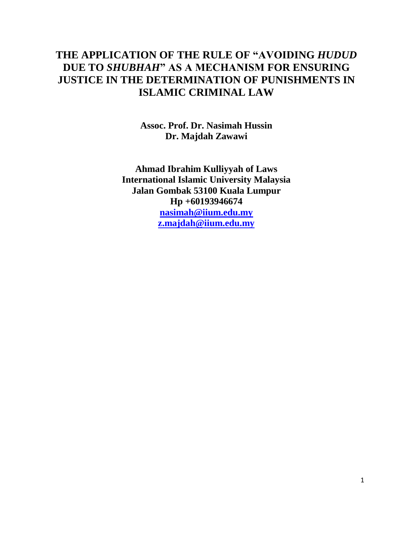# **THE APPLICATION OF THE RULE OF "AVOIDING** *HUDUD* **DUE TO** *SHUBHAH***" AS A MECHANISM FOR ENSURING JUSTICE IN THE DETERMINATION OF PUNISHMENTS IN ISLAMIC CRIMINAL LAW**

**Assoc. Prof. Dr. Nasimah Hussin Dr. Majdah Zawawi**

**Ahmad Ibrahim Kulliyyah of Laws International Islamic University Malaysia Jalan Gombak 53100 Kuala Lumpur Hp +60193946674 [nasimah@iium.edu.my](mailto:nasimah@iium.edu.my) [z.majdah@iium.edu.my](mailto:z.majdah@iium.edu.my)**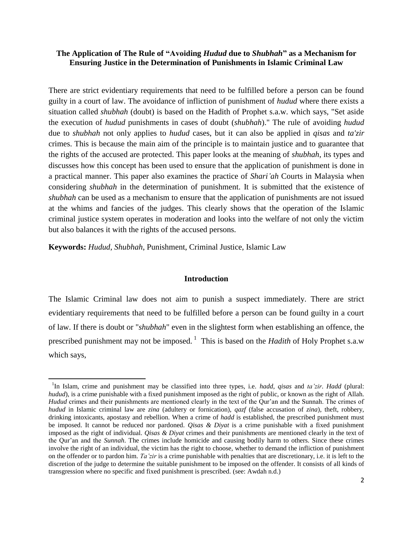# **The Application of The Rule of "Avoiding** *Hudud* **due to** *Shubhah***" as a Mechanism for Ensuring Justice in the Determination of Punishments in Islamic Criminal Law**

There are strict evidentiary requirements that need to be fulfilled before a person can be found guilty in a court of law. The avoidance of infliction of punishment of *hudud* where there exists a situation called *shubhah* (doubt) is based on the Hadith of Prophet s.a.w. which says, "Set aside the execution of *hudud* punishments in cases of doubt (*shubhah*)." The rule of avoiding *hudud* due to *shubhah* not only applies to *hudud* cases, but it can also be applied in *qisas* and *ta'zir* crimes. This is because the main aim of the principle is to maintain justice and to guarantee that the rights of the accused are protected. This paper looks at the meaning of *shubhah*, its types and discusses how this concept has been used to ensure that the application of punishment is done in a practical manner. This paper also examines the practice of *Shari'ah* Courts in Malaysia when considering *shubhah* in the determination of punishment. It is submitted that the existence of *shubhah* can be used as a mechanism to ensure that the application of punishments are not issued at the whims and fancies of the judges. This clearly shows that the operation of the Islamic criminal justice system operates in moderation and looks into the welfare of not only the victim but also balances it with the rights of the accused persons.

**Keywords:** *Hudud*, *Shubhah*, Punishment, Criminal Justice, Islamic Law

 $\overline{\phantom{a}}$ 

### **Introduction**

The Islamic Criminal law does not aim to punish a suspect immediately. There are strict evidentiary requirements that need to be fulfilled before a person can be found guilty in a court of law. If there is doubt or "*shubhah*" even in the slightest form when establishing an offence, the prescribed punishment may not be imposed.<sup>1</sup> This is based on the *Hadith* of Holy Prophet s.a.w which says,

<sup>1</sup> In Islam, crime and punishment may be classified into three types, i.e. *hadd*, *qisas* and *ta'zir*. *Hadd* (plural: *hudud*), is a crime punishable with a fixed punishment imposed as the right of public, or known as the right of Allah. *Hudud* crimes and their punishments are mentioned clearly in the text of the Qur'an and the Sunnah. The crimes of *hudud* in Islamic criminal law are *zina* (adultery or fornication), *qazf* (false accusation of *zina*), theft, robbery, drinking intoxicants, apostasy and rebellion. When a crime of *hadd* is established, the prescribed punishment must be imposed. It cannot be reduced nor pardoned. *Qisas & Diyat* is a crime punishable with a fixed punishment imposed as the right of individual. *Qisas & Diyat* crimes and their punishments are mentioned clearly in the text of the Qur"an and the *Sunnah*. The crimes include homicide and causing bodily harm to others. Since these crimes involve the right of an individual, the victim has the right to choose, whether to demand the infliction of punishment on the offender or to pardon him. *Ta'zir* is a crime punishable with penalties that are discretionary, i.e. it is left to the discretion of the judge to determine the suitable punishment to be imposed on the offender. It consists of all kinds of transgression where no specific and fixed punishment is prescribed. (see: Awdah n.d.)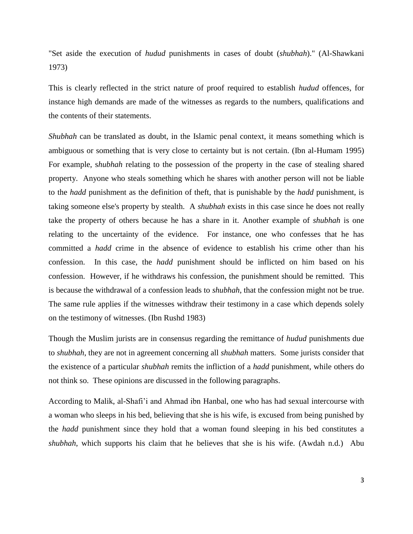"Set aside the execution of *hudud* punishments in cases of doubt (*shubhah*)." (Al-Shawkani 1973)

This is clearly reflected in the strict nature of proof required to establish *hudud* offences, for instance high demands are made of the witnesses as regards to the numbers, qualifications and the contents of their statements.

*Shubhah* can be translated as doubt, in the Islamic penal context, it means something which is ambiguous or something that is very close to certainty but is not certain. (Ibn al-Humam 1995) For example, s*hubhah* relating to the possession of the property in the case of stealing shared property. Anyone who steals something which he shares with another person will not be liable to the *hadd* punishment as the definition of theft, that is punishable by the *hadd* punishment, is taking someone else's property by stealth. A *shubhah* exists in this case since he does not really take the property of others because he has a share in it. Another example of *shubhah* is one relating to the uncertainty of the evidence. For instance, one who confesses that he has committed a *hadd* crime in the absence of evidence to establish his crime other than his confession. In this case, the *hadd* punishment should be inflicted on him based on his confession. However, if he withdraws his confession, the punishment should be remitted. This is because the withdrawal of a confession leads to *shubhah*, that the confession might not be true. The same rule applies if the witnesses withdraw their testimony in a case which depends solely on the testimony of witnesses. (Ibn Rushd 1983)

Though the Muslim jurists are in consensus regarding the remittance of *hudud* punishments due to *shubhah*, they are not in agreement concerning all *shubhah* matters. Some jurists consider that the existence of a particular *shubhah* remits the infliction of a *hadd* punishment, while others do not think so. These opinions are discussed in the following paragraphs.

According to Malik, al-Shafi"i and Ahmad ibn Hanbal, one who has had sexual intercourse with a woman who sleeps in his bed, believing that she is his wife, is excused from being punished by the *hadd* punishment since they hold that a woman found sleeping in his bed constitutes a *shubhah*, which supports his claim that he believes that she is his wife. (Awdah n.d.) Abu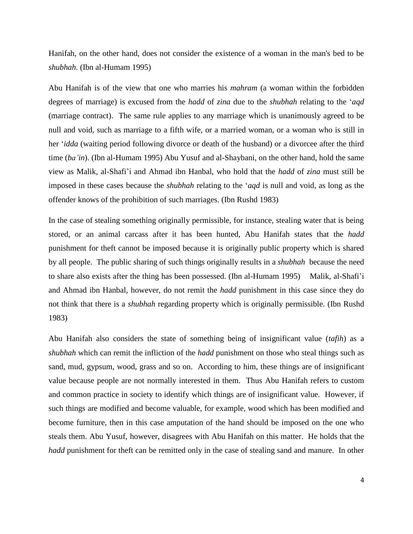Hanifah, on the other hand, does not consider the existence of a woman in the man's bed to be *shubhah*. (Ibn al-Humam 1995)

Abu Hanifah is of the view that one who marries his *mahram* (a woman within the forbidden degrees of marriage) is excused from the *hadd* of *zina* due to the *shubhah* relating to the "*aqd* (marriage contract). The same rule applies to any marriage which is unanimously agreed to be null and void, such as marriage to a fifth wife, or a married woman, or a woman who is still in her "*idda* (waiting period following divorce or death of the husband) or a divorcee after the third time (*ba'in*). (Ibn al-Humam 1995) Abu Yusuf and al-Shaybani, on the other hand, hold the same view as Malik, al-Shafi"i and Ahmad ibn Hanbal, who hold that the *hadd* of *zina* must still be imposed in these cases because the *shubhah* relating to the "*aqd* is null and void, as long as the offender knows of the prohibition of such marriages. (Ibn Rushd 1983)

In the case of stealing something originally permissible, for instance, stealing water that is being stored, or an animal carcass after it has been hunted, Abu Hanifah states that the *hadd* punishment for theft cannot be imposed because it is originally public property which is shared by all people. The public sharing of such things originally results in a *shubhah* because the need to share also exists after the thing has been possessed. (Ibn al-Humam 1995) Malik, al-Shafi"i and Ahmad ibn Hanbal, however, do not remit the *hadd* punishment in this case since they do not think that there is a *shubhah* regarding property which is originally permissible. (Ibn Rushd 1983)

Abu Hanifah also considers the state of something being of insignificant value (*tafih*) as a *shubhah* which can remit the infliction of the *hadd* punishment on those who steal things such as sand, mud, gypsum, wood, grass and so on. According to him, these things are of insignificant value because people are not normally interested in them. Thus Abu Hanifah refers to custom and common practice in society to identify which things are of insignificant value. However, if such things are modified and become valuable, for example, wood which has been modified and become furniture, then in this case amputation of the hand should be imposed on the one who steals them. Abu Yusuf, however, disagrees with Abu Hanifah on this matter. He holds that the *hadd* punishment for theft can be remitted only in the case of stealing sand and manure. In other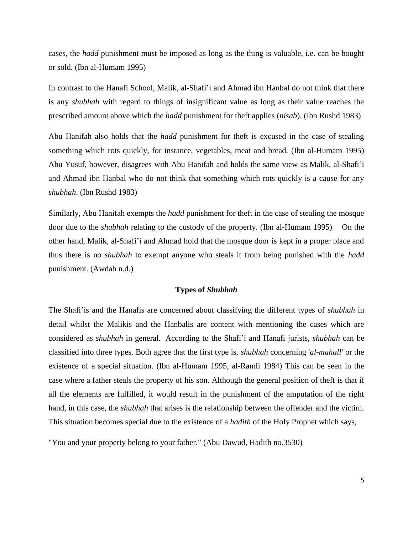cases, the *hadd* punishment must be imposed as long as the thing is valuable, i.e. can be bought or sold. (Ibn al-Humam 1995)

In contrast to the Hanafi School, Malik, al-Shafi"i and Ahmad ibn Hanbal do not think that there is any *shubhah* with regard to things of insignificant value as long as their value reaches the prescribed amount above which the *hadd* punishment for theft applies (*nisab*). (Ibn Rushd 1983)

Abu Hanifah also holds that the *hadd* punishment for theft is excused in the case of stealing something which rots quickly, for instance, vegetables, meat and bread. (Ibn al-Humam 1995) Abu Yusuf, however, disagrees with Abu Hanifah and holds the same view as Malik, al-Shafi"i and Ahmad ibn Hanbal who do not think that something which rots quickly is a cause for any *shubhah*. (Ibn Rushd 1983)

Similarly, Abu Hanifah exempts the *hadd* punishment for theft in the case of stealing the mosque door due to the *shubhah* relating to the custody of the property. (Ibn al-Humam 1995) On the other hand, Malik, al-Shafi"i and Ahmad hold that the mosque door is kept in a proper place and thus there is no *shubhah* to exempt anyone who steals it from being punished with the *hadd* punishment. (Awdah n.d.)

## **Types of** *Shubhah*

The Shafi"is and the Hanafis are concerned about classifying the different types of *shubhah* in detail whilst the Malikis and the Hanbalis are content with mentioning the cases which are considered as *shubhah* in general. According to the Shafi"i and Hanafi jurists, *shubhah* can be classified into three types. Both agree that the first type is, *shubhah* concerning '*al-mahall'* or the existence of a special situation. (Ibn al-Humam 1995, al-Ramli 1984) This can be seen in the case where a father steals the property of his son. Although the general position of theft is that if all the elements are fulfilled, it would result in the punishment of the amputation of the right hand, in this case, the *shubhah* that arises is the relationship between the offender and the victim. This situation becomes special due to the existence of a *hadith* of the Holy Prophet which says,

"You and your property belong to your father." (Abu Dawud, Hadith no.3530)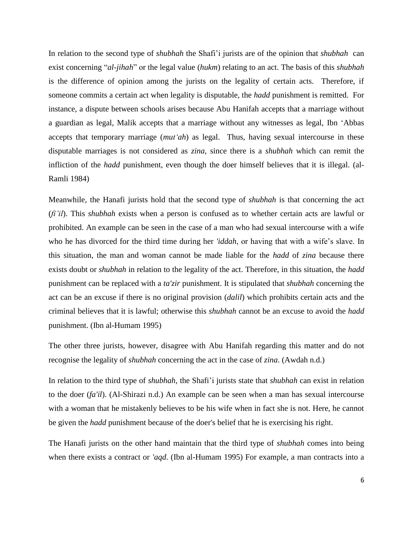In relation to the second type of *shubhah* the Shafi"i jurists are of the opinion that *shubhah* can exist concerning "*al-jihah*" or the legal value (*hukm*) relating to an act. The basis of this *shubhah* is the difference of opinion among the jurists on the legality of certain acts. Therefore, if someone commits a certain act when legality is disputable, the *hadd* punishment is remitted. For instance, a dispute between schools arises because Abu Hanifah accepts that a marriage without a guardian as legal, Malik accepts that a marriage without any witnesses as legal, Ibn "Abbas accepts that temporary marriage (*mut'ah*) as legal. Thus, having sexual intercourse in these disputable marriages is not considered as *zina*, since there is a *shubhah* which can remit the infliction of the *hadd* punishment, even though the doer himself believes that it is illegal. (al-Ramli 1984)

Meanwhile, the Hanafi jurists hold that the second type of *shubhah* is that concerning the act (*fi'il*). This *shubhah* exists when a person is confused as to whether certain acts are lawful or prohibited. An example can be seen in the case of a man who had sexual intercourse with a wife who he has divorced for the third time during her *'iddah*, or having that with a wife's slave. In this situation, the man and woman cannot be made liable for the *hadd* of *zina* because there exists doubt or *shubhah* in relation to the legality of the act. Therefore, in this situation, the *hadd* punishment can be replaced with a *ta'zir* punishment. It is stipulated that *shubhah* concerning the act can be an excuse if there is no original provision (*dalil*) which prohibits certain acts and the criminal believes that it is lawful; otherwise this *shubhah* cannot be an excuse to avoid the *hadd* punishment. (Ibn al-Humam 1995)

The other three jurists, however, disagree with Abu Hanifah regarding this matter and do not recognise the legality of *shubhah* concerning the act in the case of *zina*. (Awdah n.d.)

In relation to the third type of *shubhah*, the Shafi"i jurists state that *shubhah* can exist in relation to the doer (*fa'il*). (Al-Shirazi n.d.) An example can be seen when a man has sexual intercourse with a woman that he mistakenly believes to be his wife when in fact she is not. Here, he cannot be given the *hadd* punishment because of the doer's belief that he is exercising his right.

The Hanafi jurists on the other hand maintain that the third type of *shubhah* comes into being when there exists a contract or *'aqd*. (Ibn al-Humam 1995) For example, a man contracts into a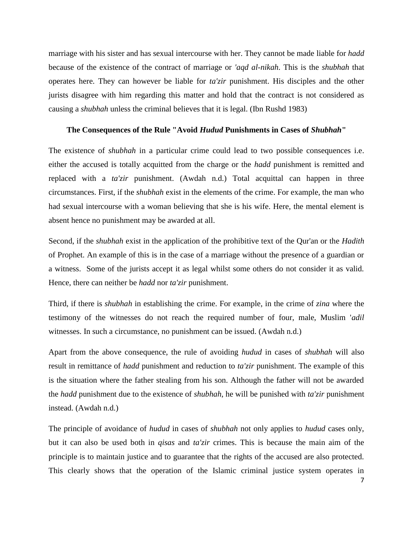marriage with his sister and has sexual intercourse with her. They cannot be made liable for *hadd* because of the existence of the contract of marriage or *'aqd al-nikah*. This is the *shubhah* that operates here. They can however be liable for *ta'zir* punishment. His disciples and the other jurists disagree with him regarding this matter and hold that the contract is not considered as causing a *shubhah* unless the criminal believes that it is legal. (Ibn Rushd 1983)

### **The Consequences of the Rule "Avoid** *Hudud* **Punishments in Cases of** *Shubhah***"**

The existence of *shubhah* in a particular crime could lead to two possible consequences i.e. either the accused is totally acquitted from the charge or the *hadd* punishment is remitted and replaced with a *ta'zir* punishment. (Awdah n.d.) Total acquittal can happen in three circumstances. First, if the *shubhah* exist in the elements of the crime. For example, the man who had sexual intercourse with a woman believing that she is his wife. Here, the mental element is absent hence no punishment may be awarded at all.

Second, if the *shubhah* exist in the application of the prohibitive text of the Qur'an or the *Hadith* of Prophet. An example of this is in the case of a marriage without the presence of a guardian or a witness. Some of the jurists accept it as legal whilst some others do not consider it as valid. Hence, there can neither be *hadd* nor *ta'zir* punishment.

Third, if there is *shubhah* in establishing the crime. For example, in the crime of *zina* where the testimony of the witnesses do not reach the required number of four, male, Muslim '*adil* witnesses. In such a circumstance, no punishment can be issued. (Awdah n.d.)

Apart from the above consequence, the rule of avoiding *hudud* in cases of *shubhah* will also result in remittance of *hadd* punishment and reduction to *ta'zir* punishment. The example of this is the situation where the father stealing from his son. Although the father will not be awarded the *hadd* punishment due to the existence of *shubhah*, he will be punished with *ta'zir* punishment instead. (Awdah n.d.)

The principle of avoidance of *hudud* in cases of *shubhah* not only applies to *hudud* cases only, but it can also be used both in *qisas* and *ta'zir* crimes. This is because the main aim of the principle is to maintain justice and to guarantee that the rights of the accused are also protected. This clearly shows that the operation of the Islamic criminal justice system operates in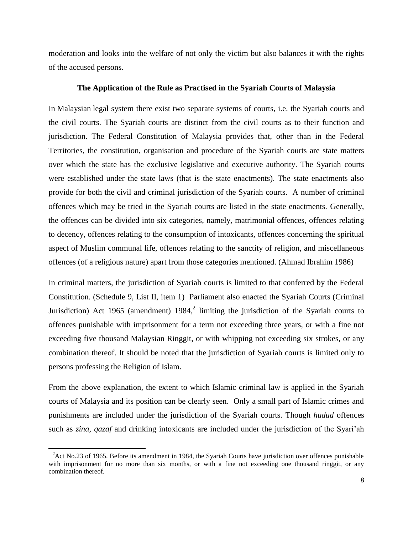moderation and looks into the welfare of not only the victim but also balances it with the rights of the accused persons.

#### **The Application of the Rule as Practised in the Syariah Courts of Malaysia**

In [Malaysian](http://en.wikipedia.org/wiki/Malaysia) [legal system](http://en.wikipedia.org/wiki/Law_of_Malaysia) there exist two separate systems of courts, i.e. the Syariah courts and the civil courts. The Syariah courts are distinct from the civil courts as to their function and jurisdiction. The Federal Constitution of Malaysia provides that, other than in the Federal Territories, the constitution, organisation and procedure of the Syariah courts are state matters over which the state has the exclusive legislative and executive authority. The Syariah courts were established under the state laws (that is the state enactments). The state enactments also provide for both the civil and criminal jurisdiction of the Syariah courts. A number of criminal offences which may be tried in the Syariah courts are listed in the state enactments. Generally, the offences can be divided into six categories, namely, matrimonial offences, offences relating to decency, offences relating to the consumption of intoxicants, offences concerning the spiritual aspect of Muslim communal life, offences relating to the sanctity of religion, and miscellaneous offences (of a religious nature) apart from those categories mentioned. (Ahmad Ibrahim 1986)

In criminal matters, the jurisdiction of Syariah courts is limited to that conferred by the Federal Constitution. (Schedule 9, List II, item 1) Parliament also enacted the Syariah Courts (Criminal Jurisdiction) Act 1965 (amendment)  $1984$ ,<sup>2</sup> limiting the jurisdiction of the Syariah courts to offences punishable with imprisonment for a term not exceeding three years, or with a fine not exceeding five thousand Malaysian Ringgit, or with whipping not exceeding six strokes, or any combination thereof. It should be noted that the jurisdiction of Syariah courts is limited only to persons professing the Religion of Islam.

From the above explanation, the extent to which Islamic criminal law is applied in the Syariah courts of Malaysia and its position can be clearly seen. Only a small part of Islamic crimes and punishments are included under the jurisdiction of the Syariah courts. Though *hudud* offences such as *zina, qazaf* and drinking intoxicants are included under the jurisdiction of the Syari"ah

 $\overline{\phantom{a}}$ 

 ${}^{2}$ Act No.23 of 1965. Before its amendment in 1984, the Syariah Courts have jurisdiction over offences punishable with imprisonment for no more than six months, or with a fine not exceeding one thousand ringgit, or any combination thereof.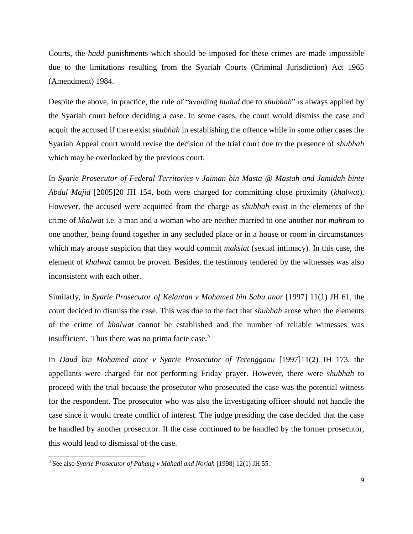Courts, the *hadd* punishments which should be imposed for these crimes are made impossible due to the limitations resulting from the Syariah Courts (Criminal Jurisdiction) Act 1965 (Amendment) 1984.

Despite the above, in practice, the rule of "avoiding *hudud* due to *shubhah*" is always applied by the Syariah court before deciding a case. In some cases, the court would dismiss the case and acquit the accused if there exist *shubhah* in establishing the offence while in some other cases the Syariah Appeal court would revise the decision of the trial court due to the presence of *shubhah* which may be overlooked by the previous court.

In *Syarie Prosecutor of Federal Territories v Jaiman bin Masta @ Mastah and Jamidah binte Abdul Majid* [2005]20 JH 154, both were charged for committing close proximity (*khalwat*). However, the accused were acquitted from the charge as *shubhah* exist in the elements of the crime of *khalwat* i.e. a man and a woman who are neither married to one another nor *mahram* to one another, being found together in any secluded place or in a house or room in circumstances which may arouse suspicion that they would commit *maksiat* (sexual intimacy)*.* In this case, the element of *khalwat* cannot be proven. Besides, the testimony tendered by the witnesses was also inconsistent with each other.

Similarly, in *Syarie Prosecutor of Kelantan v Mohamed bin Sabu anor* [1997] 11(1) JH 61, the court decided to dismiss the case. This was due to the fact that *shubhah* arose when the elements of the crime of *khalwat* cannot be established and the number of reliable witnesses was insufficient. Thus there was no prima facie case. $3$ 

In *Daud bin Mohamed anor v Syarie Prosecutor of Terengganu* [1997]11(2) JH 173, the appellants were charged for not performing Friday prayer. However, there were *shubhah* to proceed with the trial because the prosecutor who prosecuted the case was the potential witness for the respondent. The prosecutor who was also the investigating officer should not handle the case since it would create conflict of interest. The judge presiding the case decided that the case be handled by another prosecutor. If the case continued to be handled by the former prosecutor, this would lead to dismissal of the case.

 3 See also *Syarie Prosecutor of Pahang v Mahadi and Noriah* [1998] 12(1) JH 55.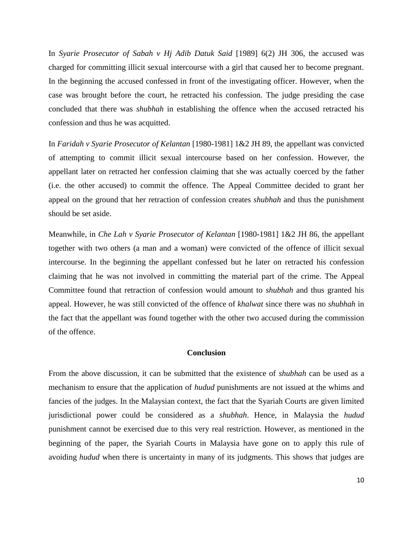In *Syarie Prosecutor of Sabah v Hj Adib Datuk Said* [1989] 6(2) JH 306, the accused was charged for committing illicit sexual intercourse with a girl that caused her to become pregnant. In the beginning the accused confessed in front of the investigating officer. However, when the case was brought before the court, he retracted his confession. The judge presiding the case concluded that there was *shubhah* in establishing the offence when the accused retracted his confession and thus he was acquitted.

In *Faridah v Syarie Prosecutor of Kelantan* [1980-1981] 1&2 JH 89, the appellant was convicted of attempting to commit illicit sexual intercourse based on her confession. However, the appellant later on retracted her confession claiming that she was actually coerced by the father (i.e. the other accused) to commit the offence. The Appeal Committee decided to grant her appeal on the ground that her retraction of confession creates *shubhah* and thus the punishment should be set aside.

Meanwhile, in *Che Lah v Syarie Prosecutor of Kelantan* [1980-1981] 1&2 JH 86, the appellant together with two others (a man and a woman) were convicted of the offence of illicit sexual intercourse. In the beginning the appellant confessed but he later on retracted his confession claiming that he was not involved in committing the material part of the crime. The Appeal Committee found that retraction of confession would amount to *shubhah* and thus granted his appeal. However, he was still convicted of the offence of *khalwat* since there was no *shubhah* in the fact that the appellant was found together with the other two accused during the commission of the offence.

### **Conclusion**

From the above discussion, it can be submitted that the existence of *shubhah* can be used as a mechanism to ensure that the application of *hudud* punishments are not issued at the whims and fancies of the judges. In the Malaysian context, the fact that the Syariah Courts are given limited jurisdictional power could be considered as a *shubhah*. Hence, in Malaysia the *hudud* punishment cannot be exercised due to this very real restriction. However, as mentioned in the beginning of the paper, the Syariah Courts in Malaysia have gone on to apply this rule of avoiding *hudud* when there is uncertainty in many of its judgments. This shows that judges are